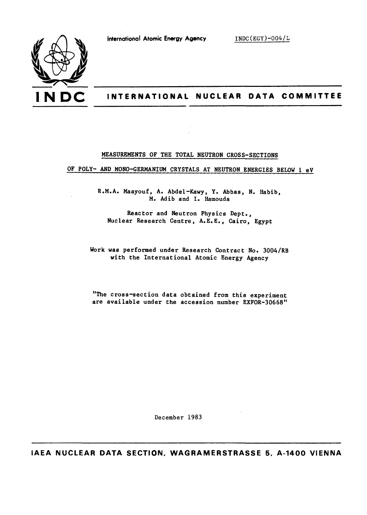

# **I N D C INTERNATIONAL NUCLEAR DATA COMMITTEE**

#### **MEASUREMENTS OF THE TOTAL NEUTRON CROSS-SECTIONS**

**OF POLY- AND MONO-GERMANIUM CRYSTALS AT NEUTRON ENERGIES BELOW 1 eV** 

**R.M.A. Maayouf, A. Abdel-Kawy, Y. Abbas, N. Habib, M. Adib and I. Hamouda** 

**Reactor and Neutron Physics Dept., Nuclear Research Centre, A.E.E., Cairo, Egypt** 

**Work was performed under Research Contract No. 3004/RB with the International Atomic Energy Agency** 

**"The cross-section data obtained from this experiment are available under the accession number EXFOR-30668"** 

**December 1983** 

**IAEA NUCLEAR DATA SECTION, WAGRAMERSTRASSE 5, A-1400 VIENNA**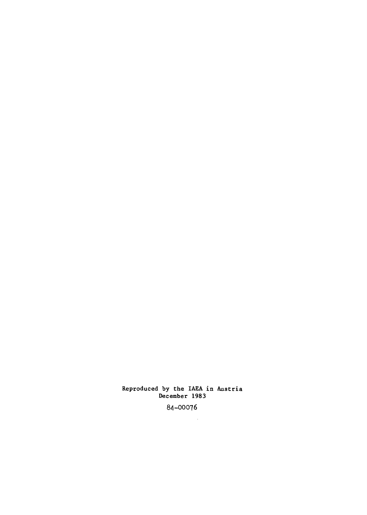### Reproduced by the IAEA in Austria December 1983

84-00076

 $\hat{\mathcal{A}}$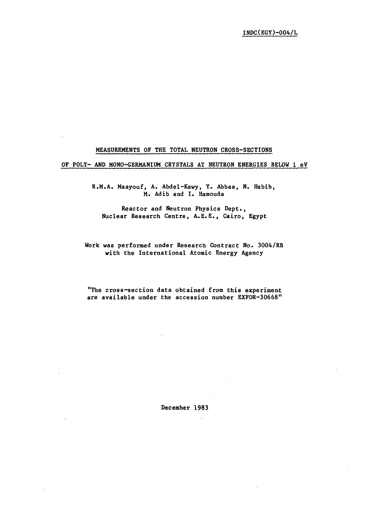## **MEASUREMENTS OF THE TOTAL NEUTRON CROSS-SECTIONS**

#### **OF POLY- AND MONO-GERMANIUM CRYSTALS AT NEUTRON ENERGIES BELOW 1 eV**

**R.M.A. Maayouf, A. Abdel-Kawy, Y. Abbas, N. Habib, M. Adib and I. Hamouda** 

**Reactor and Neutron Physics Dept., Nuclear Research Centre, A.E.E., Cairo, Egypt** 

**Work was performed under Research Contract No. 3004/RB with the International Atomic Energy Agency** 

**"The cross-section data obtained from this experiment are available under the accession number EXFOR-30668"** 

**December 1983** 

 $\sim$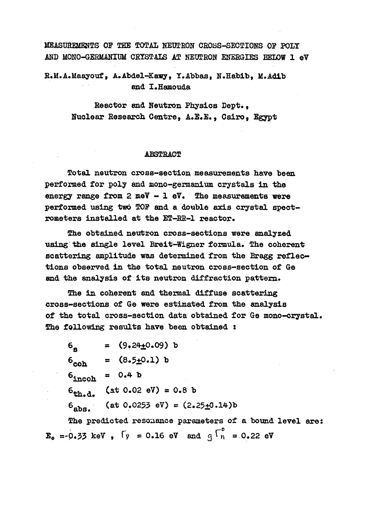MEASUREMENTS OP THE TOTAL NEUTRON CROSS-SECTIONS OP POLY AND MONO-GERMANIUM CRYSTALS AT NEUTRON ENERGIES BELOW 1 eV

R.M.A.Maayouf, A.Abdel-Kawy, Y.Abbas, N.Habib, M.Adib and I.Hamouda

> Reactor and Neutron Physics Dept., Nuclear Research Centre, A.E.E., Cairo, Egypt

## ABSTRACT

Total neutron cross-section measurements have been performed for poly and mono-germanium crystals in the energy range from  $2 \text{ meV} - 1 \text{ eV}$ . The measurements were performed using two TOP and a double axis crystal spectrometers installed at the ET-RR-1 reactor.

The obtained neutron cross-sections were analyzed using the single level Breit-Wigner formula. The coherent scattering amplitude was determined from the Bragg reflections observed in the total neutron cross-section of Ge and the analysis of its neutron diffraction pattern.

The in coherent and thermal diffuse scattering cross-sections of Ge were estimated from the analysis of the total cross-section data obtained for Ge mono-crystal. The following results have been obtained :

 $6_{\text{g}} = (9.24 \pm 0.09) \text{ b}$ <br> $6_{\text{coh}} = (8.5 \pm 0.1) \text{ b}$  $6_{\text{incoh}} = 0.4 \text{ b}$  $6_{\text{th.d.}}$  (at 0.02 eV) = 0.8 b  $6_{\text{she}}$  (at 0.0253 eV) =  $(2.25 \pm 0.14)$ b The predicted resonance parameters of a bound level are:  $\mathbf{E}_0 = -0.33$  keV,  $\int y = 0.16$  eV and  $q \int_0^b = 0.22$  eV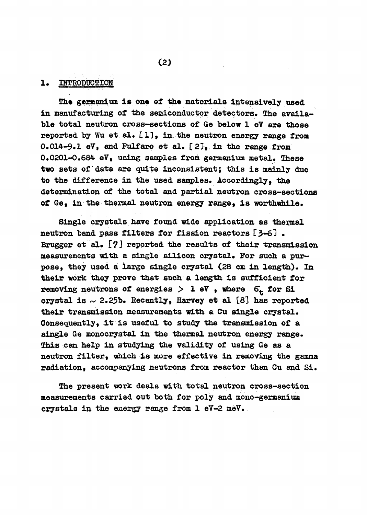## 1. INTRODUCTION

The germanium is one of the materials intensively used in manufacturing of the semiconductor detectors. The available total neutron cross-sections of Ge below 1 eV are those reported by Wu et al. Cl), in the neutron energy range from 0.014-9.1 eV, and Fulfaro et al. [2], in the range from 0.0201-0.684 eV, using samples from germanium metal. These two sets of data are quite inconsistent; this is mainly due to the difference in the used samples. Accordingly, the determination of the total and partial neutron cross-sections of Ge, in the thermal neutron energy range, is worthwhile.

Single crystals have found wide application as thermal neutron band pass filters for fission reactors Í3-61 . Brugger et al.  $[7]$  reported the results of their transmission measurements with a single silicon crystal. Por such a purpose, they used a large single crystal (28 cm in length). In their work they prove that such a length is sufficient for removing neutrons of energies  $>$  1 eV , where  $6<sub>+</sub>$  for Si crystal is  $\sim$  2.25b. Recently, Harvey et al [8] has reported their transmission measurements with a Cu single crystal. Consequently, it is useful to study the transmission of a single Ge monocrystal in the thermal neutron energy range. This can help in studying the validity of using Ge as a neutron filter, which is more effective in removing the gamma radiation, accompanying neutrons from reactor than Cu and Si.

The present work deals with total neutron cross-section measurements carried out both for poly and mono-germanium crystals in the energy range from 1 eV-2 meV.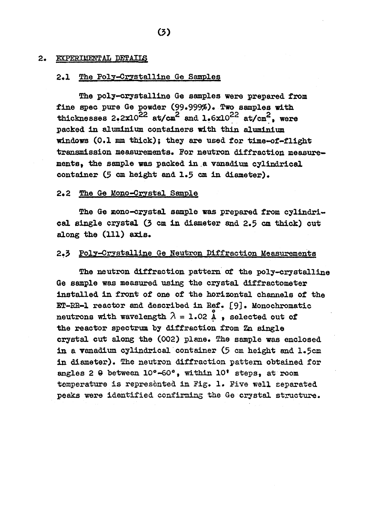### 2. EXPERIMENTAL DETAILS

# 2.1 The Poly-Crystalline Ge Samples

The poly-crystalline Ge samples were prepared from fine spec pure Ge powder (99»999%) .Two samples with thicknesses 2.2 $\times$ 10<sup>22</sup> at/cm<sup>2</sup> and 1.6x10<sup>22</sup> at/cm<sup>2</sup>, were packed in aluminium containers with thin aluminium windows (0.1 mm thick); they are used for time-of-flight transmission measurements. For neutron diffraction measuremente, the sample was packed in a vanadium cylindrical container (5 cm height and 1.5 cm in diameter).

## 2\*2 The Ge Mono-Crystal Sample

The Ge mono-crystal sample was prepared from cylindrical single crystal  $(3 \text{ cm in diameter and } 2.5 \text{ cm thick})$  cut along the  $(111)$  axis.

## 2.3 Poly-Crystalline Ge Neutron Diffraction Measurements

The neutron diffraction pattern of the poly-crystalline Ge sample was measured using the crystal diffractometer installed in front of one of the horizontal channels of the ET-RR-1 reactor and described in Ref. [9]. Monochromatic neutrons with wavelength  $\lambda = 1.02$  Å, selected out of the reactor spectrum by diffraction from Zn single crystal cut along the (002) plane. The sample was enclosed in a vanadium cylindrical container ( $5$  cm height and  $1.5cm$ in diameter). The neutron diffraction pattern obtained for in diameter). The neutron diffraction pattern obtained for angles 2 6 between 10°-60°, within 10° steps, at room temperature is represented in Pig. 1. Five well separated peaks were identified confirming the Ge crystal structure.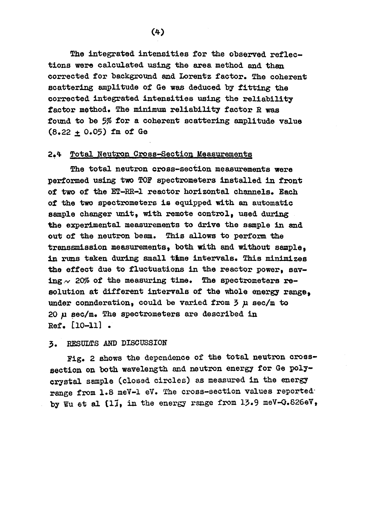The integrated intensities for the observed reflections were calculated using the area method and than corrected for background and Lorentz factor. The coherent scattering amplitude of Ge was deduced by fitting the corrected integrated intensities using the reliability factor method. The minimum reliability factor R was found to be 5% for a coherent scattering amplitude value  $(8.22 + 0.05)$  fm of Ge

## 2«\* Total Neutron Cross-Section Measurements

The total neutron cross-section measurements were performed using two TOP spectrometers installed in front of two of the ET-RR-1 reactor horizontal channels. Each of the two spectrometers is equipped with an automatic sample changer unit, with remote control, used during the experimental measurements to drive the sample in and out of the neutron beam. This allows to perform the transsmission measurements, both with and without sample. in runs taken during small time intervals. This minimizes the effect due to fluctuations in the reactor power, saving  $\sim$  20% of the measuring time. The spectrometers resolution at different intervals of the whole energy range. under connderation, could be varied from 5 *p.* sec/m to  $20 \mu$  sec/m. The spectrometers are described in Eef. [10-11] .

# 3. RESULTS AND DISCUSSION

Fig. 2 shows the dependence of the total neutron crosssection on both wavelength and neutron energy for Ge polycrystal sample (closed circles) as measured in the energy range from 1.8 meV-1 eV. The cross-section values reportedby Wu et al  $[11]$ , in the energy range from 13.9 meV-G.826eV,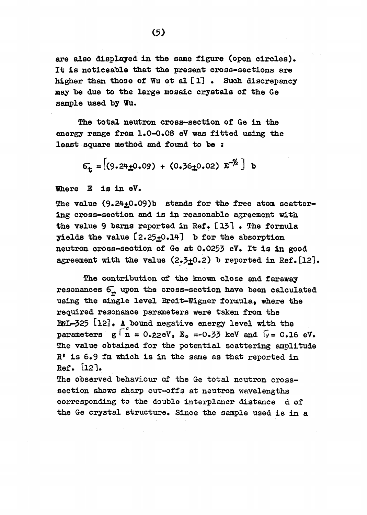are also displayed in the same figure (open circles). It is noticeable that the present cross-sections are higher than those of Wu et al *Í* 11 • Such discrepancy may be due to the large mosaic crystals of the Ge sample used by Wu.

The total neutron cross-section of Ge in the energy range from 1.0-0» 08 eV was fitted using the least square method and found to be :

$$
6_{\mathbf{t}} = \left[ (9.24 \pm 0.09) + (0.36 \pm 0.02) \mathbf{E}^{-1/2} \right] \mathbf{b}
$$

Where £ is in eV.

The value  $(9.24 \pm 0.09)$ b stands for the free atom scattering cross-section and is in reasonable agreement with the value 9 barns reported in Ref.  $[13]$ . The formula yields the value  $[2.25 \pm 0.14]$  b for the absorption neutron cross-section of Ge at 0.0255 eV. It is in good agreement with the value  $(2,3+0.2)$  b reported in Ref. [12].

The contribution of the known close and faraway resonances  $6$ , upon the cross-section have been calculated using the single level Breit-Wigner formula, where the required resonance parameters were taken from the BNI/-525 £l2l • A bound negative energy level with the parameters  $g \upharpoonright_{n}^{c} = 0.22eV$ ,  $E_0 = -0.33$  keV and  $\upharpoonright_{V} = 0.16$  eV. The value obtained for the potential scattering amplitude E <sup>f</sup> is 6.9 fa which is in the same as that reported in Ref.  $[12]$ .

The observed behaviour of the Ge total neutron crosssection shows sharp cut-offs at neutron wavelengths corresponding to the double interplaner distance d of the Ge crystal structure. Since the sample used is in a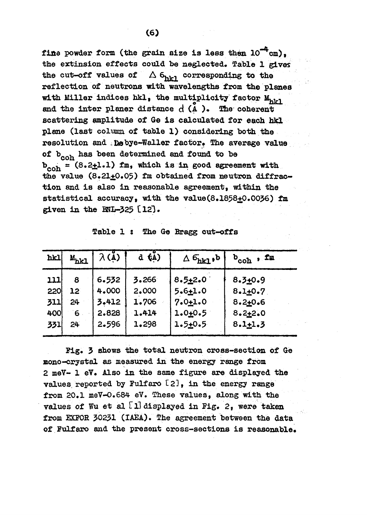fine powder form (the grain size is less then  $10^{-4}$  cm). the extinsion effects could be neglected. Table 1 gives the cut-off values of  $\Delta$  6 $_{\text{hkl}}$  corresponding to the reflection of neutrons with wavelengths from the planes with Miller indices hkl, the multiplicity factor  $M_{h11}$ and the inter planer distance  $d(A)$ . The coherent scattering amplitude of Ge is calculated for each hid plane (last column of table 1) considering both the resolution and .Debye-Waller factor. The average value of  $b_{coh}$  has been determined and found to be  $b_{coh} = (8.2 \pm 1.1)$  fm, which is in good agreement with the value  $(8.21 \pm 0.05)$  fm obtained from neutron diffraction and is also in reasonable agreement, within the statistical accuracy, with the value(8.1858+0.0036) fm given in the  $RNL-325$   $[12]$ .

|  |  |  | Table 1 : The Ge Bragg cut-offs |
|--|--|--|---------------------------------|
|  |  |  |                                 |

| hkl        | $M_{hkl}$             | $\lambda(\mu)$ | $\overline{d}$ $\overline{t}$ $\overline{A}$ ) | $\Delta$ $6_{hkl}$ , b     | $b_{\text{coh}}$ , fm      |
|------------|-----------------------|----------------|------------------------------------------------|----------------------------|----------------------------|
| 111        | 8                     | 6.532          | 3.266                                          | $8.5 + 2.0$                | $8.3 + 0.9$                |
| 220<br>311 | 12 <sup>1</sup><br>24 | 4.000<br>3.412 | 2.000<br>1.706                                 | $5.6 + 1.0$<br>$7.0 + 1.0$ | $8.1 + 0.7$<br>$8.2 + 0.6$ |
| 400        | 6                     | 2.828          | 1.414                                          | $1.0 + 0.5$                | $8.2 + 2.0$                |
| 331        | 24 <sup>°</sup>       | 2.596          | 1.298                                          | $1.5 + 0.5$                | $8.1 + 1.3$                |
|            |                       |                |                                                |                            |                            |

Fig. 3 shows the total neutron cross-section of Ge mono-crystal as measured in the energy range from 2 meV- 1 eV. Also in the same figure are displayed the values reported by Fulfaro  $[2]$ , in the energy range from 20.1 meV-0.684 eV. These values, along with the values of Wu et al  $[1]$  displayed in Fig. 2, were taken from EXFOR 30231 (IAEA). The agreement between the data of Fulfaro and the present cross-sections is reasonable.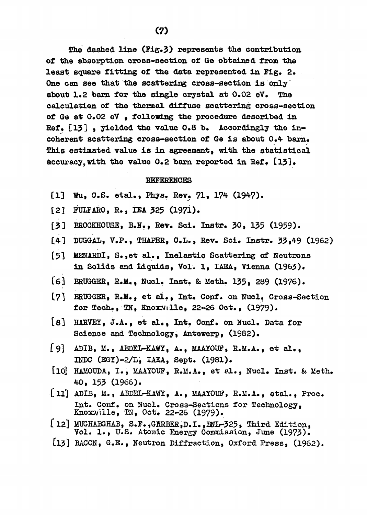The dashed line (Fig.5) represents the contribution of the absorption cross-section of Ge obtained from the least square fitting of the data represented in Fig. 2. One can see that the scattering cross-section is only about 1.2 barn for the single crystal at 0.02 eV. The calculation of the thermal diffuse scattering cross-section of Ge at  $0.02$  eV, following the procedure described in Ref. [13], yielded the value 0.8 b. Accordingly the incoherent scattering cross-section of Ge is about  $0.4$  barn. This estimated value is in agreement, with the statistical accuracy, with the value  $0.2$  barn reported in Ref.  $[13]$ .

#### REFERENCES

- [1] Wu, C.S. etal., Phys. Rev. 71, 174 (1947).
- [2] FULFARO, R., IEA 525 (1971).
- [53 BROCKHOUSE, B.N., Rev. Sci. Instr. 50, 155 (1959).
- [4] DUGGAL, V.P., THAPER, C.L., Rev. Sci. Instr. 55,49 (1962)
- [51 MENARDI, S.,et al., Inelastic Scattering of Neutrons in Solids and Liquids, Vol. 1, IAEA, Vienna (1965).
- [6] BRUGGER, R.M., Nucl. Inst. & Meth. 135, 289 (1976).
- [7] BRUGGER, R.M., et al., Int. Conf. on Nucl. Cross-Section for Tech., TN, KnoxVille, 22-26 Oct., (1979).
- [8] HARVEY, J.A., et al., Int. Conf. on Nucl. Data for Science and Technology, Antewerp, (1982).
- Í9] ADIB, M., ABDEL-KAWY, A., MAAYOUF, R.M.A., et al., INDC (EGY)-2/L, IAEA, Sept. (1981).
- [lO] HAMOUDA, I., MAAYOUF, R.M.A., et al., Nucl. Inst. & Ueth. 40, 155 (1966).
- [11] ADIB, M., ABDEL-KAWY, A., MAAYOUF, R.M.A., etal., Proc. Int. Conf. on Nucl. Cross-Sections for Technology, Knoxville, TN, Oct. 22-26 (1979).
- [12] MUGHABGHAB, S.F., GRRBER, D.I., FNL-325, Third Edition, Vol. 1., U.S. Atomic Energy Commission, June (1975).
- [l3] BACON, G.E., Neutron Diffraction, Oxford Press, (1962).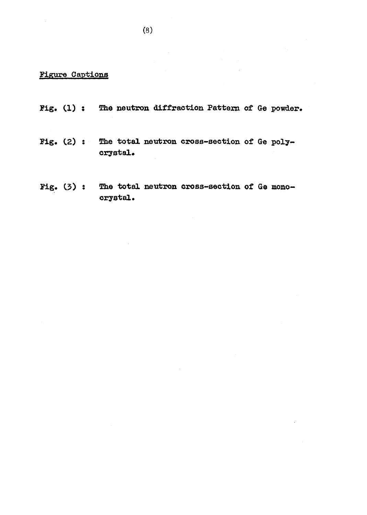# Figure Captions

- Fig. (1) : The neutron diffraction Pattern of Ge powder.
- Fig. (2) : The total neutron cross-section of Ge polycrystal.
- Fig» C5) s The total neutron cross-section of Ge monocrystal.

 $\alpha$  ,  $\beta$  ,  $\beta$  ,  $\beta$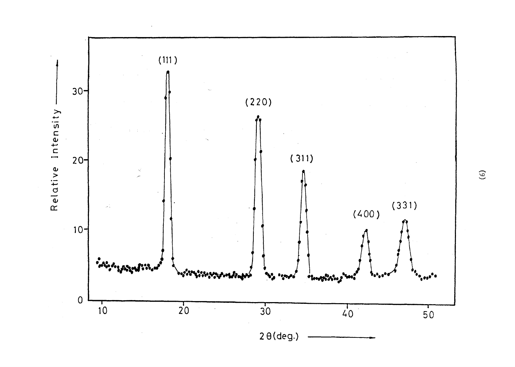

 $\widetilde{\Theta}$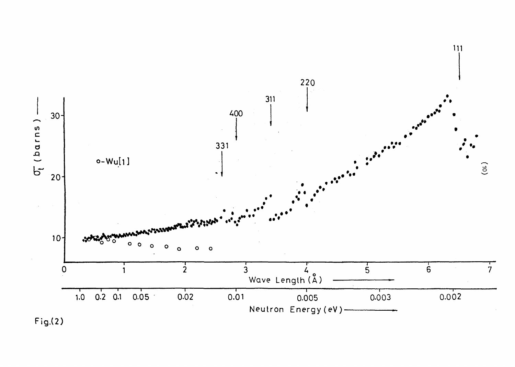

 $Fig.(2)$